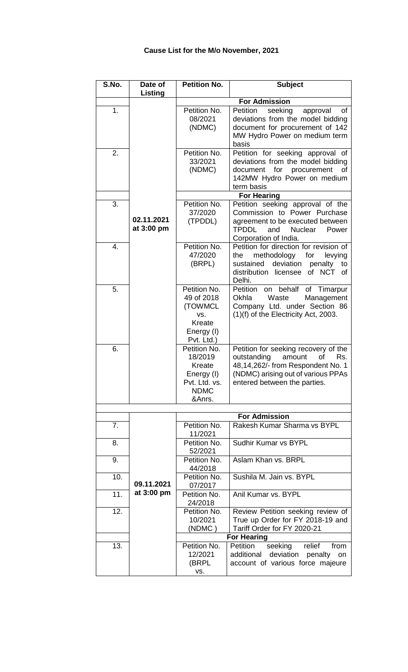## **Cause List for the M/o November, 2021**

| S.No. | Date of        | Petition No.                 | <b>Subject</b>                                                               |
|-------|----------------|------------------------------|------------------------------------------------------------------------------|
|       | <b>Listing</b> |                              | <b>For Admission</b>                                                         |
| 1.    |                | Petition No.                 | Petition<br>seeking<br>approval<br>οf                                        |
|       |                | 08/2021                      | deviations from the model bidding                                            |
|       |                | (NDMC)                       | document for procurement of 142                                              |
|       |                |                              | MW Hydro Power on medium term                                                |
|       |                |                              | basis                                                                        |
| 2.    |                | Petition No.                 | Petition for seeking approval of                                             |
|       |                | 33/2021                      | deviations from the model bidding                                            |
|       |                | (NDMC)                       | document for procurement<br>of                                               |
|       |                |                              | 142MW Hydro Power on medium<br>term basis                                    |
|       |                |                              | <b>For Hearing</b>                                                           |
| 3.    |                | Petition No.                 | Petition seeking approval of the                                             |
|       |                | 37/2020                      | Commission to Power Purchase                                                 |
|       | 02.11.2021     | (TPDDL)                      | agreement to be executed between                                             |
|       | at 3:00 pm     |                              | <b>TPDDL</b><br>Nuclear<br>and<br>Power                                      |
|       |                |                              | Corporation of India.                                                        |
| 4.    |                | Petition No.                 | Petition for direction for revision of                                       |
|       |                | 47/2020<br>(BRPL)            | methodology for<br>the<br>levying<br>deviation<br>sustained<br>to<br>penalty |
|       |                |                              | of NCT<br>distribution licensee<br><b>of</b>                                 |
|       |                |                              | Delhi.                                                                       |
| 5.    |                | Petition No.                 | Petition<br>on behalf<br>of Timarpur                                         |
|       |                | 49 of 2018                   | Okhla<br>Waste<br>Management                                                 |
|       |                | (TOWMCL                      | Company Ltd. under Section 86                                                |
|       |                | VS.                          | (1)(f) of the Electricity Act, 2003.                                         |
|       |                | Kreate                       |                                                                              |
|       |                | Energy (I)<br>Pvt. Ltd.)     |                                                                              |
| 6.    |                | Petition No.                 | Petition for seeking recovery of the                                         |
|       |                | 18/2019                      | outstanding<br>amount<br>of<br>Rs.                                           |
|       |                | Kreate                       | 48,14,262/- from Respondent No. 1                                            |
|       |                | Energy (I)                   | (NDMC) arising out of various PPAs                                           |
|       |                | Pvt. Ltd. vs.<br><b>NDMC</b> | entered between the parties.                                                 |
|       |                | &Anrs.                       |                                                                              |
|       |                |                              |                                                                              |
|       |                |                              | <b>For Admission</b>                                                         |
| 7.    |                | Petition No.<br>11/2021      | Rakesh Kumar Sharma vs BYPL                                                  |
| 8.    |                | Petition No.<br>52/2021      | Sudhir Kumar vs BYPL                                                         |
| 9.    |                | Petition No.<br>44/2018      | Aslam Khan vs. BRPL                                                          |
| 10.   | 09.11.2021     | Petition No.<br>07/2017      | Sushila M. Jain vs. BYPL                                                     |
| 11.   | at 3:00 pm     | Petition No.<br>24/2018      | Anil Kumar vs. BYPL                                                          |
| 12.   |                | Petition No.                 | Review Petition seeking review of                                            |
|       |                | 10/2021                      | True up Order for FY 2018-19 and                                             |
|       |                | (NDMC)                       | Tariff Order for FY 2020-21<br><b>For Hearing</b>                            |
| 13.   |                | Petition No.                 | Petition<br>seeking<br>relief<br>from                                        |
|       |                | 12/2021                      | deviation<br>additional<br>penalty<br>on                                     |
|       |                | (BRPL                        | account of various force majeure                                             |
|       |                | VS.                          |                                                                              |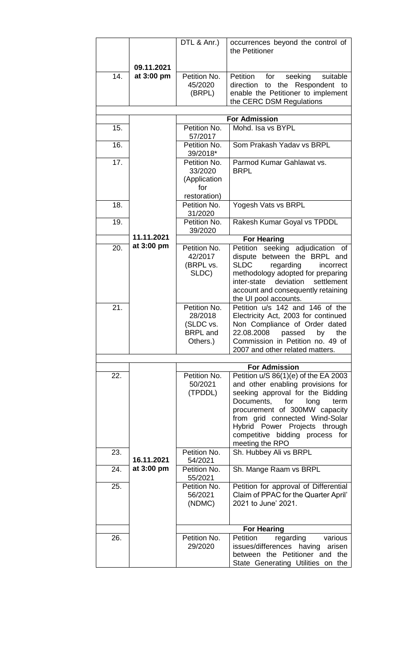|     |                          | DTL & Anr.)                  | occurrences beyond the control of<br>the Petitioner                               |
|-----|--------------------------|------------------------------|-----------------------------------------------------------------------------------|
|     |                          |                              |                                                                                   |
| 14. | 09.11.2021               |                              |                                                                                   |
|     | at 3:00 pm               | Petition No.<br>45/2020      | Petition<br>for<br>seeking<br>suitable<br>direction<br>the Respondent<br>to<br>to |
|     |                          | (BRPL)                       | enable the Petitioner to implement                                                |
|     |                          |                              | the CERC DSM Regulations                                                          |
|     |                          |                              | <b>For Admission</b>                                                              |
| 15. |                          | Petition No.                 | Mohd. Isa vs BYPL                                                                 |
| 16. |                          | 57/2017<br>Petition No.      | Som Prakash Yadav vs BRPL                                                         |
|     |                          | 39/2018*                     |                                                                                   |
| 17. |                          | Petition No.                 | Parmod Kumar Gahlawat vs.                                                         |
|     |                          | 33/2020<br>(Application      | <b>BRPL</b>                                                                       |
|     |                          | for                          |                                                                                   |
|     |                          | restoration)                 |                                                                                   |
| 18. |                          | Petition No.<br>31/2020      | Yogesh Vats vs BRPL                                                               |
| 19. |                          | Petition No.<br>39/2020      | Rakesh Kumar Goyal vs TPDDL                                                       |
|     | 11.11.2021               |                              | <b>For Hearing</b>                                                                |
| 20. | at 3:00 pm               | Petition No.                 | seeking adjudication of<br>Petition                                               |
|     |                          | 42/2017<br>(BRPL vs.         | between the BRPL and<br>dispute<br><b>SLDC</b><br>regarding<br>incorrect          |
|     |                          | SLDC)                        | methodology adopted for preparing                                                 |
|     |                          |                              | deviation<br>inter-state<br>settlement                                            |
|     |                          |                              | account and consequently retaining<br>the UI pool accounts.                       |
| 21. |                          | Petition No.                 | Petition u/s 142 and 146 of the                                                   |
|     |                          | 28/2018                      | Electricity Act, 2003 for continued                                               |
|     |                          | (SLDC vs.<br><b>BRPL</b> and | Non Compliance of Order dated<br>22.08.2008 passed by<br>the                      |
|     |                          | Others.)                     | Commission in Petition no. 49 of                                                  |
|     |                          |                              | 2007 and other related matters.                                                   |
|     |                          |                              | <b>For Admission</b>                                                              |
| 22. |                          | Petition No.                 | Petition u/S 86(1)(e) of the EA 2003                                              |
|     |                          | 50/2021                      | and other enabling provisions for                                                 |
|     |                          | (TPDDL)                      | seeking approval for the Bidding<br>Documents,<br>for<br>long<br>term             |
|     |                          |                              | procurement of 300MW capacity                                                     |
|     |                          |                              | from grid connected Wind-Solar<br>Hybrid Power Projects through                   |
|     |                          |                              | competitive bidding process for                                                   |
|     |                          |                              | meeting the RPO                                                                   |
| 23. | 16.11.2021<br>at 3:00 pm | Petition No.<br>54/2021      | Sh. Hubbey Ali vs BRPL                                                            |
| 24. |                          | Petition No.<br>55/2021      | Sh. Mange Raam vs BRPL                                                            |
| 25. |                          | Petition No.                 | Petition for approval of Differential                                             |
|     |                          | 56/2021<br>(NDMC)            | Claim of PPAC for the Quarter April'<br>2021 to June' 2021.                       |
|     |                          |                              |                                                                                   |
|     |                          |                              |                                                                                   |
| 26. |                          | Petition No.                 | <b>For Hearing</b><br>Petition<br>regarding<br>various                            |
|     |                          | 29/2020                      | issues/differences having<br>arisen                                               |
|     |                          |                              | between the Petitioner and the                                                    |
|     |                          |                              | State Generating Utilities on the                                                 |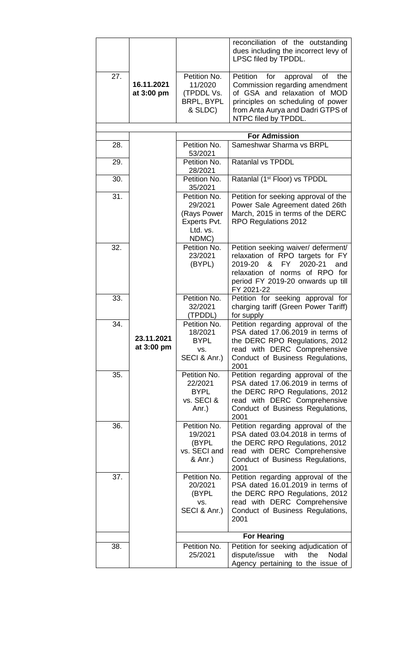|                   |                          |                                                                             | reconciliation of the outstanding<br>dues including the incorrect levy of<br>LPSC filed by TPDDL.                                                                                                            |
|-------------------|--------------------------|-----------------------------------------------------------------------------|--------------------------------------------------------------------------------------------------------------------------------------------------------------------------------------------------------------|
| 27.               | 16.11.2021<br>at 3:00 pm | Petition No.<br>11/2020<br>(TPDDL Vs.<br><b>BRPL, BYPL</b><br>& SLDC)       | Petition<br>for<br>approval<br>οf<br>the<br>Commission regarding amendment<br>of GSA and relaxation of MOD<br>principles on scheduling of power<br>from Anta Aurya and Dadri GTPS of<br>NTPC filed by TPDDL. |
|                   |                          |                                                                             | <b>For Admission</b>                                                                                                                                                                                         |
| 28.               |                          | Petition No.<br>53/2021                                                     | Sameshwar Sharma vs BRPL                                                                                                                                                                                     |
| 29.               |                          | Petition No.<br>28/2021                                                     | Ratanlal vs TPDDL                                                                                                                                                                                            |
| $\overline{30}$ . |                          | Petition No.<br>35/2021                                                     | Ratanlal (1 <sup>st</sup> Floor) vs TPDDL                                                                                                                                                                    |
| 31.               |                          | Petition No.<br>29/2021<br>(Rays Power<br>Experts Pvt.<br>Ltd. vs.<br>NDMC) | Petition for seeking approval of the<br>Power Sale Agreement dated 26th<br>March, 2015 in terms of the DERC<br>RPO Regulations 2012                                                                          |
| 32.               |                          | Petition No.<br>23/2021<br>(BYPL)                                           | Petition seeking waiver/ deferment/<br>relaxation of RPO targets for FY<br>2019-20<br>&<br>2020-21<br>FY .<br>and<br>relaxation of norms of RPO for<br>period FY 2019-20 onwards up till<br>FY 2021-22       |
| 33.               |                          | Petition No.<br>32/2021<br>(TPDDL)                                          | Petition for seeking approval for<br>charging tariff (Green Power Tariff)<br>for supply                                                                                                                      |
| 34.               | 23.11.2021<br>at 3:00 pm | Petition No.<br>18/2021<br><b>BYPL</b><br>VS.<br>SECI & Anr.)               | Petition regarding approval of the<br>PSA dated 17.06.2019 in terms of<br>the DERC RPO Regulations, 2012<br>read with DERC Comprehensive<br>Conduct of Business Regulations,<br>2001                         |
| 35.               |                          | Petition No.<br>22/2021<br><b>BYPL</b><br>vs. SECI &<br>Anr.)               | Petition regarding approval of the<br>PSA dated 17.06.2019 in terms of<br>the DERC RPO Regulations, 2012<br>read with DERC Comprehensive<br>Conduct of Business Regulations,<br>2001                         |
| 36.               |                          | Petition No.<br>19/2021<br>(BYPL<br>vs. SECI and<br>& Anr.)                 | Petition regarding approval of the<br>PSA dated 03.04.2018 in terms of<br>the DERC RPO Regulations, 2012<br>read with DERC Comprehensive<br>Conduct of Business Regulations,<br>2001                         |
| 37.               |                          | Petition No.<br>20/2021<br>(BYPL<br>VS.<br>SECI & Anr.)                     | Petition regarding approval of the<br>PSA dated 16.01.2019 in terms of<br>the DERC RPO Regulations, 2012<br>read with DERC Comprehensive<br>Conduct of Business Regulations,<br>2001                         |
|                   |                          |                                                                             | <b>For Hearing</b>                                                                                                                                                                                           |
| 38.               |                          | Petition No.<br>25/2021                                                     | Petition for seeking adjudication of<br>dispute/issue<br>Nodal<br>with<br>the<br>Agency pertaining to the issue of                                                                                           |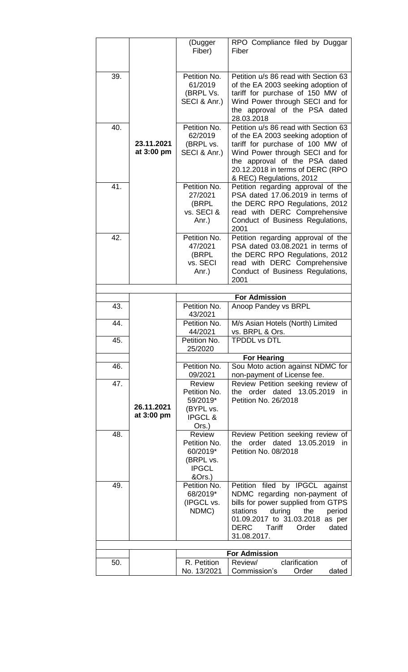|     |            | (Dugger                    | RPO Compliance filed by Duggar                                             |
|-----|------------|----------------------------|----------------------------------------------------------------------------|
|     |            | Fiber)                     | Fiber                                                                      |
|     |            |                            |                                                                            |
| 39. |            | Petition No.               | Petition u/s 86 read with Section 63                                       |
|     |            | 61/2019<br>(BRPL Vs.       | of the EA 2003 seeking adoption of<br>tariff for purchase of 150 MW of     |
|     |            | SECI & Anr.)               | Wind Power through SECI and for                                            |
|     |            |                            | the approval of the PSA dated                                              |
|     |            |                            | 28.03.2018                                                                 |
| 40. |            | Petition No.<br>62/2019    | Petition u/s 86 read with Section 63<br>of the EA 2003 seeking adoption of |
|     | 23.11.2021 | (BRPL vs.                  | tariff for purchase of 100 MW of                                           |
|     | at 3:00 pm | SECI & Anr.)               | Wind Power through SECI and for                                            |
|     |            |                            | the approval of the PSA dated                                              |
|     |            |                            | 20.12.2018 in terms of DERC (RPO<br>& REC) Regulations, 2012               |
| 41. |            | Petition No.               | Petition regarding approval of the                                         |
|     |            | 27/2021                    | PSA dated 17.06.2019 in terms of                                           |
|     |            | (BRPL<br>vs. SECI &        | the DERC RPO Regulations, 2012<br>read with DERC Comprehensive             |
|     |            | Anr.)                      | Conduct of Business Regulations,                                           |
|     |            |                            | 2001                                                                       |
| 42. |            | Petition No.               | Petition regarding approval of the                                         |
|     |            | 47/2021<br>(BRPL           | PSA dated 03.08.2021 in terms of<br>the DERC RPO Regulations, 2012         |
|     |            | vs. SECI                   | read with DERC Comprehensive                                               |
|     |            | Anr.)                      | Conduct of Business Regulations,                                           |
|     |            |                            | 2001                                                                       |
|     |            |                            | <b>For Admission</b>                                                       |
| 43. |            | Petition No.               | Anoop Pandey vs BRPL                                                       |
| 44. |            | 43/2021<br>Petition No.    | M/s Asian Hotels (North) Limited                                           |
|     |            | 44/2021                    | vs. BRPL & Ors.                                                            |
| 45. |            | Petition No.               | <b>TPDDL vs DTL</b>                                                        |
|     |            | 25/2020                    | <b>For Hearing</b>                                                         |
| 46. |            | Petition No.               | Sou Moto action against NDMC for                                           |
|     |            | 09/2021                    | non-payment of License fee.                                                |
| 47. |            | Review                     | Review Petition seeking review of                                          |
|     |            | Petition No.<br>59/2019*   | dated<br>13.05.2019<br>order<br>the.<br>in<br>Petition No. 26/2018         |
|     | 26.11.2021 | (BYPL vs.                  |                                                                            |
|     | at 3:00 pm | <b>IPGCL&amp;</b>          |                                                                            |
| 48. |            | Ors.)<br><b>Review</b>     | Review Petition seeking review of                                          |
|     |            | Petition No.               | the order dated 13.05.2019<br>in.                                          |
|     |            | 60/2019*                   | Petition No. 08/2018                                                       |
|     |            | (BRPL vs.<br><b>IPGCL</b>  |                                                                            |
|     |            | &Ors.)                     |                                                                            |
| 49. |            | Petition No.               | Petition filed by IPGCL against                                            |
|     |            | 68/2019*                   | NDMC regarding non-payment of                                              |
|     |            | (IPGCL vs.<br>NDMC)        | bills for power supplied from GTPS<br>during<br>stations<br>the<br>period  |
|     |            |                            | 01.09.2017 to 31.03.2018 as per                                            |
|     |            |                            | <b>DERC</b><br>Tariff<br>Order<br>dated                                    |
|     |            |                            | 31.08.2017.                                                                |
|     |            |                            | <b>For Admission</b>                                                       |
| 50. |            | R. Petition<br>No. 13/2021 | clarification<br>Review/<br><b>of</b>                                      |
|     |            |                            | Commission's<br>dated<br>Order                                             |